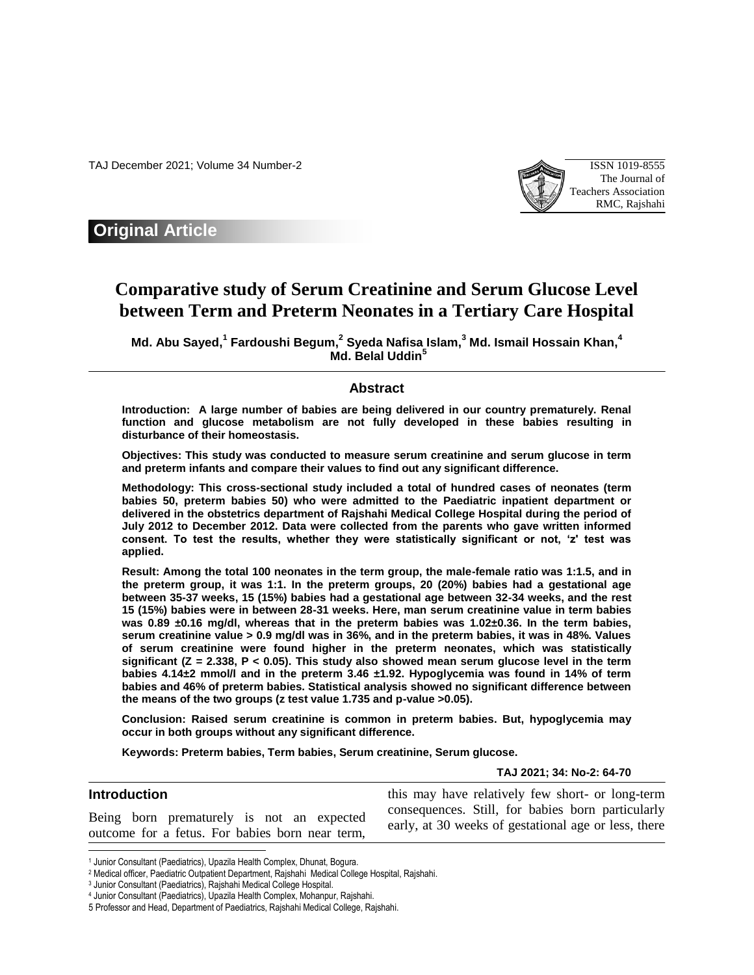TAJ December 2021; Volume 34 Number-2 ISSN 1019-8555



## **Original Article**

# **Comparative study of Serum Creatinine and Serum Glucose Level between Term and Preterm Neonates in a Tertiary Care Hospital**

**Md. Abu Sayed, 1 Fardoushi Begum, 2 Syeda Nafisa Islam, <sup>3</sup> Md. Ismail Hossain Khan, 4 Md. Belal Uddin<sup>5</sup>**

#### **Abstract**

**Introduction: A large number of babies are being delivered in our country prematurely. Renal function and glucose metabolism are not fully developed in these babies resulting in disturbance of their homeostasis.** 

**Objectives: This study was conducted to measure serum creatinine and serum glucose in term and preterm infants and compare their values to find out any significant difference.** 

**Methodology: This cross-sectional study included a total of hundred cases of neonates (term babies 50, preterm babies 50) who were admitted to the Paediatric inpatient department or delivered in the obstetrics department of Rajshahi Medical College Hospital during the period of July 2012 to December 2012. Data were collected from the parents who gave written informed consent. To test the results, whether they were statistically significant or not, 'z' test was applied.** 

**Result: Among the total 100 neonates in the term group, the male-female ratio was 1:1.5, and in the preterm group, it was 1:1. In the preterm groups, 20 (20%) babies had a gestational age between 35-37 weeks, 15 (15%) babies had a gestational age between 32-34 weeks, and the rest 15 (15%) babies were in between 28-31 weeks. Here, man serum creatinine value in term babies was 0.89 ±0.16 mg/dl, whereas that in the preterm babies was 1.02±0.36. In the term babies, serum creatinine value > 0.9 mg/dl was in 36%, and in the preterm babies, it was in 48%. Values of serum creatinine were found higher in the preterm neonates, which was statistically significant (Z = 2.338, P < 0.05). This study also showed mean serum glucose level in the term babies 4.14±2 mmol/l and in the preterm 3.46 ±1.92. Hypoglycemia was found in 14% of term babies and 46% of preterm babies. Statistical analysis showed no significant difference between the means of the two groups (z test value 1.735 and p-value >0.05).** 

**Conclusion: Raised serum creatinine is common in preterm babies. But, hypoglycemia may occur in both groups without any significant difference.**

**Keywords: Preterm babies, Term babies, Serum creatinine, Serum glucose.**

**TAJ 2021; 34: No-2: 64-70**

#### **Introduction** Being born prematurely is not an expected outcome for a fetus. For babies born near term, this may have relatively few short- or long-term consequences. Still, for babies born particularly early, at 30 weeks of gestational age or less, there

 $\overline{\phantom{a}}$ 

<sup>1</sup> Junior Consultant (Paediatrics), Upazila Health Complex, Dhunat, Bogura.

<sup>2</sup> Medical officer, Paediatric Outpatient Department, Rajshahi Medical College Hospital, Rajshahi.

<sup>3</sup> Junior Consultant (Paediatrics), Rajshahi Medical College Hospital.

<sup>4</sup> Junior Consultant (Paediatrics), Upazila Health Complex, Mohanpur, Rajshahi.

<sup>5</sup> Professor and Head, Department of Paediatrics, Rajshahi Medical College, Rajshahi.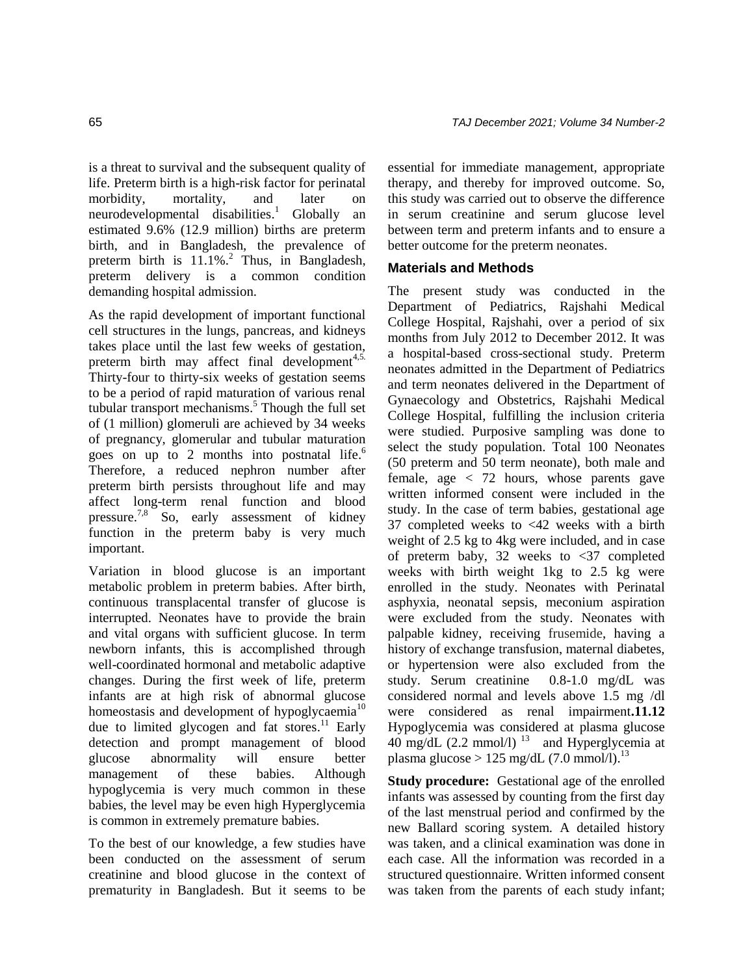is a threat to survival and the subsequent quality of life. Preterm birth is a high-risk factor for perinatal morbidity, mortality, and later on neurodevelopmental disabilities. <sup>1</sup> Globally an estimated 9.6% (12.9 million) births are preterm birth, and in Bangladesh, the prevalence of preterm birth is 11.1%.<sup>2</sup> Thus, in Bangladesh, preterm delivery is a common condition demanding hospital admission.

As the rapid development of important functional cell structures in the lungs, pancreas, and kidneys takes place until the last few weeks of gestation, preterm birth may affect final development<sup>4,5.</sup> Thirty-four to thirty-six weeks of gestation seems to be a period of rapid maturation of various renal tubular transport mechanisms. <sup>5</sup> Though the full set of (1 million) glomeruli are achieved by 34 weeks of pregnancy, glomerular and tubular maturation goes on up to 2 months into postnatal life. 6 Therefore, a reduced nephron number after preterm birth persists throughout life and may affect long-term renal function and blood pressure.<sup>7,8</sup> So, early assessment of kidney function in the preterm baby is very much important.

Variation in blood glucose is an important metabolic problem in preterm babies. After birth, continuous transplacental transfer of glucose is interrupted. Neonates have to provide the brain and vital organs with sufficient glucose. In term newborn infants, this is accomplished through well-coordinated hormonal and metabolic adaptive changes. During the first week of life, preterm infants are at high risk of abnormal glucose homeostasis and development of hypoglycaemia<sup>10</sup> due to limited glycogen and fat stores.<sup>11</sup> Early detection and prompt management of blood glucose abnormality will ensure better management of these babies. Although hypoglycemia is very much common in these babies, the level may be even high Hyperglycemia is common in extremely premature babies.

To the best of our knowledge, a few studies have been conducted on the assessment of serum creatinine and blood glucose in the context of prematurity in Bangladesh. But it seems to be

essential for immediate management, appropriate therapy, and thereby for improved outcome. So, this study was carried out to observe the difference in serum creatinine and serum glucose level between term and preterm infants and to ensure a better outcome for the preterm neonates.

### **Materials and Methods**

The present study was conducted in the Department of Pediatrics, Rajshahi Medical College Hospital, Rajshahi, over a period of six months from July 2012 to December 2012. It was a hospital-based cross-sectional study. Preterm neonates admitted in the Department of Pediatrics and term neonates delivered in the Department of Gynaecology and Obstetrics, Rajshahi Medical College Hospital, fulfilling the inclusion criteria were studied. Purposive sampling was done to select the study population. Total 100 Neonates (50 preterm and 50 term neonate), both male and female, age < 72 hours, whose parents gave written informed consent were included in the study. In the case of term babies, gestational age 37 completed weeks to <42 weeks with a birth weight of 2.5 kg to 4kg were included, and in case of preterm baby, 32 weeks to  $\langle 37 \rangle$  completed weeks with birth weight 1kg to 2.5 kg were enrolled in the study. Neonates with Perinatal asphyxia, neonatal sepsis, meconium aspiration were excluded from the study. Neonates with palpable kidney, receiving frusemide, having a history of exchange transfusion, maternal diabetes, or hypertension were also excluded from the study. Serum creatinine 0.8-1.0 mg/dL was considered normal and levels above 1.5 mg /dl were considered as renal impairment**.11.12**  Hypoglycemia was considered at plasma glucose  $40 \text{ mg/dL}$  (2.2 mmol/l)<sup>13</sup> and Hyperglycemia at plasma glucose >  $125 \text{ mg/dL}$  (7.0 mmol/l).<sup>13</sup>

**Study procedure:** Gestational age of the enrolled infants was assessed by counting from the first day of the last menstrual period and confirmed by the new Ballard scoring system. A detailed history was taken, and a clinical examination was done in each case. All the information was recorded in a structured questionnaire. Written informed consent was taken from the parents of each study infant;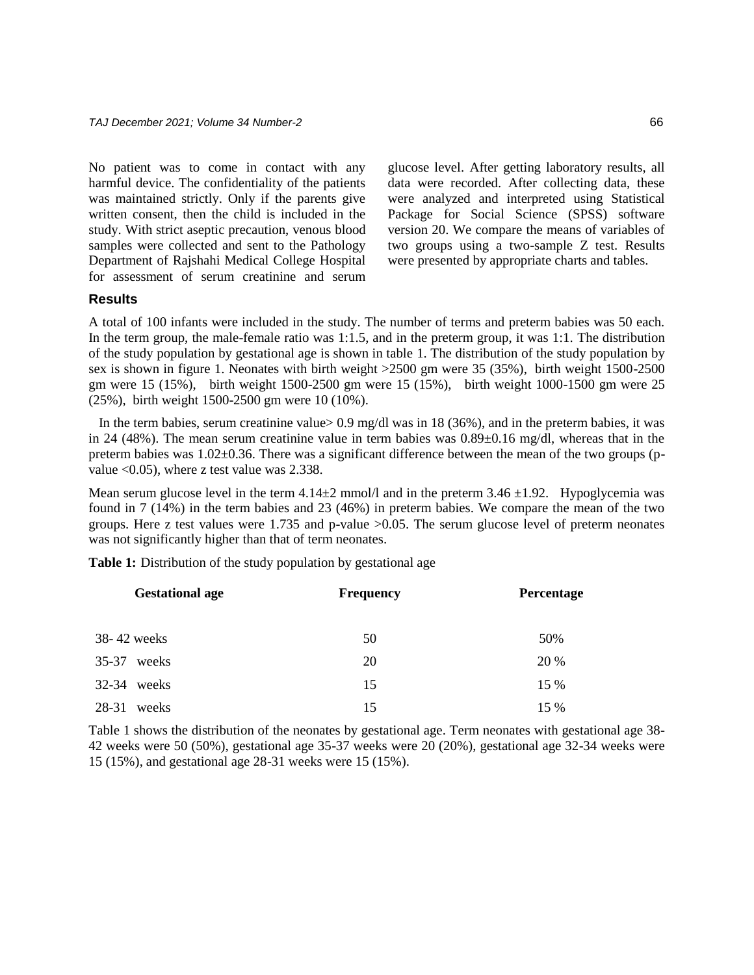No patient was to come in contact with any harmful device. The confidentiality of the patients was maintained strictly. Only if the parents give written consent, then the child is included in the study. With strict aseptic precaution, venous blood samples were collected and sent to the Pathology Department of Rajshahi Medical College Hospital for assessment of serum creatinine and serum glucose level. After getting laboratory results, all data were recorded. After collecting data, these were analyzed and interpreted using Statistical Package for Social Science (SPSS) software version 20. We compare the means of variables of two groups using a two-sample Z test. Results were presented by appropriate charts and tables.

#### **Results**

A total of 100 infants were included in the study. The number of terms and preterm babies was 50 each. In the term group, the male-female ratio was 1:1.5, and in the preterm group, it was 1:1. The distribution of the study population by gestational age is shown in table 1. The distribution of the study population by sex is shown in figure 1. Neonates with birth weight >2500 gm were 35 (35%), birth weight 1500-2500 gm were 15 (15%), birth weight 1500-2500 gm were 15 (15%), birth weight 1000-1500 gm were 25 (25%), birth weight 1500-2500 gm were 10 (10%).

In the term babies, serum creatinine value>  $0.9$  mg/dl was in 18 (36%), and in the preterm babies, it was in 24 (48%). The mean serum creatinine value in term babies was  $0.89\pm0.16$  mg/dl, whereas that in the preterm babies was 1.02±0.36. There was a significant difference between the mean of the two groups (pvalue <0.05), where z test value was 2.338.

Mean serum glucose level in the term  $4.14\pm2$  mmol/l and in the preterm  $3.46\pm1.92$ . Hypoglycemia was found in 7 (14%) in the term babies and 23 (46%) in preterm babies. We compare the mean of the two groups. Here z test values were 1.735 and p-value >0.05. The serum glucose level of preterm neonates was not significantly higher than that of term neonates.

**Table 1:** Distribution of the study population by gestational age

| <b>Gestational age</b> | <b>Frequency</b> | Percentage |
|------------------------|------------------|------------|
| 38-42 weeks            | 50               | 50%        |
| 35-37<br>weeks         | 20               | 20 %       |
| 32-34 weeks            | 15               | 15 %       |
| 28-31<br>weeks         | 15               | 15 %       |

Table 1 shows the distribution of the neonates by gestational age. Term neonates with gestational age 38- 42 weeks were 50 (50%), gestational age 35-37 weeks were 20 (20%), gestational age 32-34 weeks were 15 (15%), and gestational age 28-31 weeks were 15 (15%).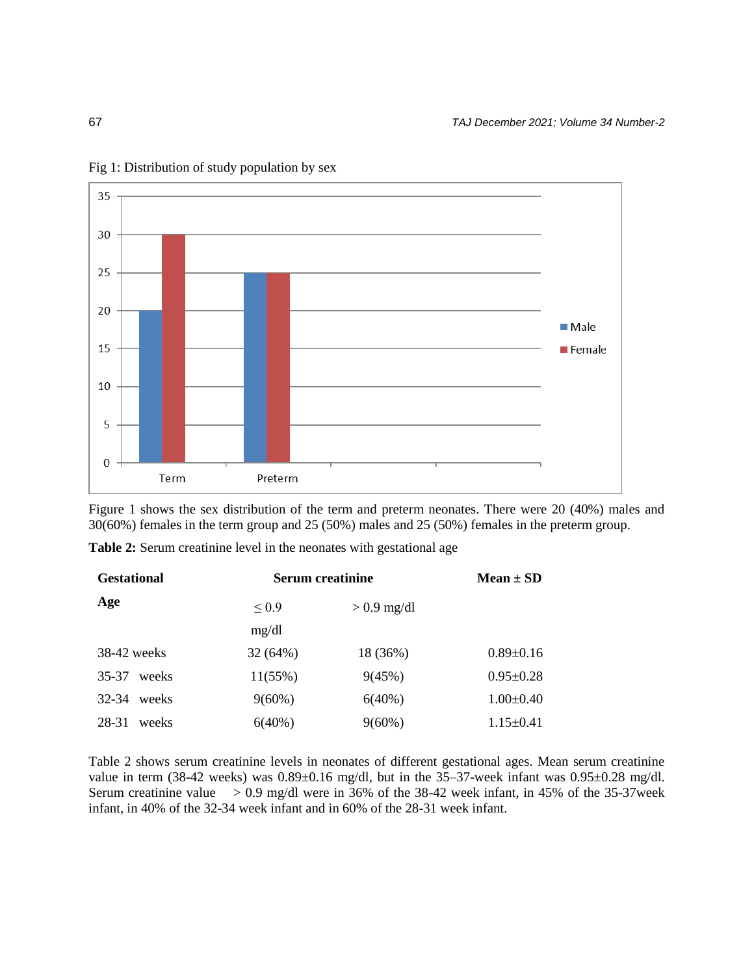

Fig 1: Distribution of study population by sex

Figure 1 shows the sex distribution of the term and preterm neonates. There were 20 (40%) males and 30(60%) females in the term group and 25 (50%) males and 25 (50%) females in the preterm group.

**Table 2:** Serum creatinine level in the neonates with gestational age

| <b>Gestational</b> | <b>Serum creatinine</b> |               | Mean $\pm$ SD   |
|--------------------|-------------------------|---------------|-----------------|
| Age                | $\leq 0.9$              | $> 0.9$ mg/dl |                 |
|                    | mg/dl                   |               |                 |
| $38-42$ weeks      | 32(64%)                 | 18 (36%)      | $0.89 \pm 0.16$ |
| 35-37<br>weeks     | 11(55%)                 | 9(45%)        | $0.95 \pm 0.28$ |
| $32 - 34$<br>weeks | $9(60\%)$               | $6(40\%)$     | $1.00 \pm 0.40$ |
| 28-31<br>weeks     | $6(40\%)$               | $9(60\%)$     | $1.15 \pm 0.41$ |

Table 2 shows serum creatinine levels in neonates of different gestational ages. Mean serum creatinine value in term (38-42 weeks) was  $0.89\pm0.16$  mg/dl, but in the 35-37-week infant was  $0.95\pm0.28$  mg/dl. Serum creatinine value  $> 0.9$  mg/dl were in 36% of the 38-42 week infant, in 45% of the 35-37 week infant, in 40% of the 32-34 week infant and in 60% of the 28-31 week infant.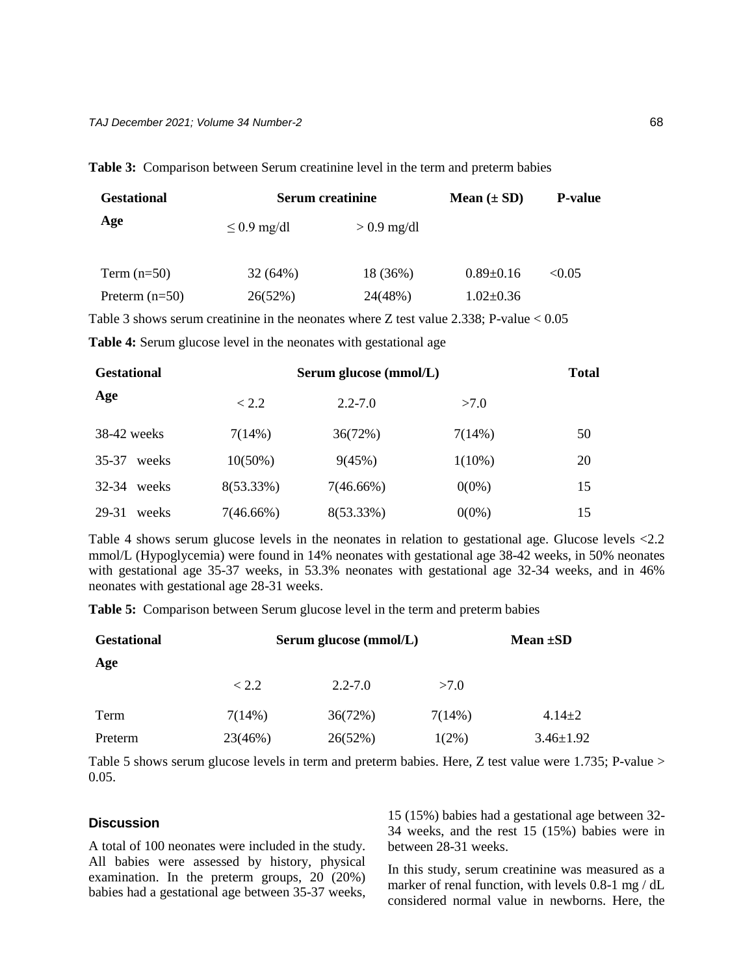| <b>Gestational</b> | <b>Serum creatinine</b> |               | Mean $(\pm SD)$ | <b>P-value</b> |
|--------------------|-------------------------|---------------|-----------------|----------------|
| Age                | $\leq$ 0.9 mg/dl        | $> 0.9$ mg/dl |                 |                |
| Term $(n=50)$      | 32(64%)                 | 18 (36%)      | $0.89 \pm 0.16$ | < 0.05         |
| Preterm $(n=50)$   | 26(52%)                 | 24(48%)       | $1.02 \pm 0.36$ |                |

**Table 3:** Comparison between Serum creatinine level in the term and preterm babies

Table 3 shows serum creatinine in the neonates where Z test value 2.338; P-value < 0.05

**Table 4:** Serum glucose level in the neonates with gestational age

| <b>Gestational</b> |              | Serum glucose (mmol/L) |           |    |
|--------------------|--------------|------------------------|-----------|----|
| Age                | < 2.2        | $2.2 - 7.0$            | >7.0      |    |
| $38-42$ weeks      | 7(14%)       | 36(72%)                | 7(14%)    | 50 |
| 35-37<br>weeks     | $10(50\%)$   | 9(45%)                 | $1(10\%)$ | 20 |
| 32-34<br>weeks     | $8(53.33\%)$ | $7(46.66\%)$           | $0(0\%)$  | 15 |
| 29-31<br>weeks     | 7(46.66%)    | 8(53.33%)              | $0(0\%)$  | 15 |

Table 4 shows serum glucose levels in the neonates in relation to gestational age. Glucose levels <2.2 mmol/L (Hypoglycemia) were found in 14% neonates with gestational age 38-42 weeks, in 50% neonates with gestational age 35-37 weeks, in 53.3% neonates with gestational age 32-34 weeks, and in 46% neonates with gestational age 28-31 weeks.

**Table 5:** Comparison between Serum glucose level in the term and preterm babies

| <b>Gestational</b> | Serum glucose (mmol/L) |             |          | Mean $\pm SD$   |  |
|--------------------|------------------------|-------------|----------|-----------------|--|
| Age                |                        |             |          |                 |  |
|                    | < 2.2                  | $2.2 - 7.0$ | >7.0     |                 |  |
| Term               | 7(14%)                 | 36(72%)     | 7(14%)   | $4.14 \pm 2$    |  |
| Preterm            | 23(46%)                | 26(52%)     | $1(2\%)$ | $3.46 \pm 1.92$ |  |

Table 5 shows serum glucose levels in term and preterm babies. Here, Z test value were 1.735; P-value >  $0.05.$ 

#### **Discussion**

A total of 100 neonates were included in the study. All babies were assessed by history, physical examination. In the preterm groups, 20 (20%) babies had a gestational age between 35-37 weeks,

15 (15%) babies had a gestational age between 32- 34 weeks, and the rest 15 (15%) babies were in between 28-31 weeks.

In this study, serum creatinine was measured as a marker of renal function, with levels 0.8-1 mg / dL considered normal value in newborns. Here, the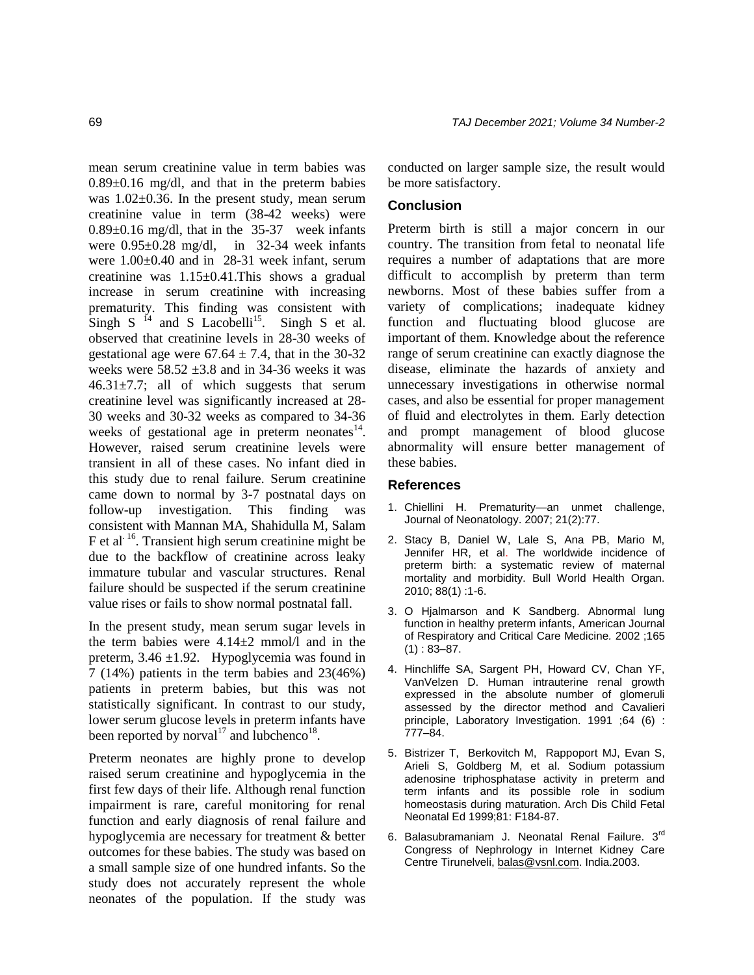mean serum creatinine value in term babies was 0.89±0.16 mg/dl, and that in the preterm babies was 1.02±0.36. In the present study, mean serum creatinine value in term (38-42 weeks) were 0.89±0.16 mg/dl, that in the 35-37 week infants were 0.95±0.28 mg/dl, in 32-34 week infants were 1.00±0.40 and in 28-31 week infant, serum creatinine was 1.15±0.41.This shows a gradual increase in serum creatinine with increasing prematurity. This finding was consistent with Singh S  $^{14}$  and S Lacobelli<sup>15</sup>. Singh S et al. observed that creatinine levels in 28-30 weeks of gestational age were  $67.64 \pm 7.4$ , that in the 30-32 weeks were  $58.52 \pm 3.8$  and in 34-36 weeks it was  $46.31 \pm 7.7$ ; all of which suggests that serum creatinine level was significantly increased at 28- 30 weeks and 30-32 weeks as compared to 34-36 weeks of gestational age in preterm neonates $14$ . However, raised serum creatinine levels were transient in all of these cases. No infant died in this study due to renal failure. Serum creatinine came down to normal by 3-7 postnatal days on follow-up investigation. This finding was consistent with Mannan MA, Shahidulla M, Salam F et al.  $^{16}$ . Transient high serum creatinine might be due to the backflow of creatinine across leaky immature tubular and vascular structures. Renal failure should be suspected if the serum creatinine value rises or fails to show normal postnatal fall.

In the present study, mean serum sugar levels in the term babies were  $4.14\pm2$  mmol/l and in the preterm,  $3.46 \pm 1.92$ . Hypoglycemia was found in 7 (14%) patients in the term babies and 23(46%) patients in preterm babies, but this was not statistically significant. In contrast to our study, lower serum glucose levels in preterm infants have been reported by norval<sup>17</sup> and lubchenco<sup>18</sup>.

Preterm neonates are highly prone to develop raised serum creatinine and hypoglycemia in the first few days of their life. Although renal function impairment is rare, careful monitoring for renal function and early diagnosis of renal failure and hypoglycemia are necessary for treatment & better outcomes for these babies. The study was based on a small sample size of one hundred infants. So the study does not accurately represent the whole neonates of the population. If the study was

conducted on larger sample size, the result would be more satisfactory.

#### **Conclusion**

Preterm birth is still a major concern in our country. The transition from fetal to neonatal life requires a number of adaptations that are more difficult to accomplish by preterm than term newborns. Most of these babies suffer from a variety of complications; inadequate kidney function and fluctuating blood glucose are important of them. Knowledge about the reference range of serum creatinine can exactly diagnose the disease, eliminate the hazards of anxiety and unnecessary investigations in otherwise normal cases, and also be essential for proper management of fluid and electrolytes in them. Early detection and prompt management of blood glucose abnormality will ensure better management of these babies.

#### **References**

- 1. Chiellini H. Prematurity—an unmet challenge, Journal of Neonatology. 2007; 21(2):77.
- 2. Stacy B, Daniel W, Lale S, Ana PB, Mario M, Jennifer HR, et al. The worldwide incidence of preterm birth: a systematic review of maternal mortality and morbidity. Bull World Health Organ. 2010; 88(1) :1-6.
- 3. O Hjalmarson and K Sandberg. Abnormal lung function in healthy preterm infants, American Journal of Respiratory and Critical Care Medicine*.* 2002 ;165  $(1): 83 - 87.$
- 4. Hinchliffe SA, Sargent PH, Howard CV, Chan YF, VanVelzen D. Human intrauterine renal growth expressed in the absolute number of glomeruli assessed by the director method and Cavalieri principle, Laboratory Investigation. 1991 ;64 (6) : 777–84.
- 5. Bistrizer T, Berkovitch M, Rappoport MJ, Evan S, Arieli S, Goldberg M, et al. Sodium potassium adenosine triphosphatase activity in preterm and term infants and its possible role in sodium homeostasis during maturation. Arch Dis Child Fetal Neonatal Ed 1999;81: F184-87.
- 6. Balasubramaniam J. Neonatal Renal Failure. 3<sup>rd</sup> Congress of Nephrology in Internet Kidney Care Centre Tirunelveli, [balas@vsnl.com.](mailto:balas@vsnl.com) India.2003.